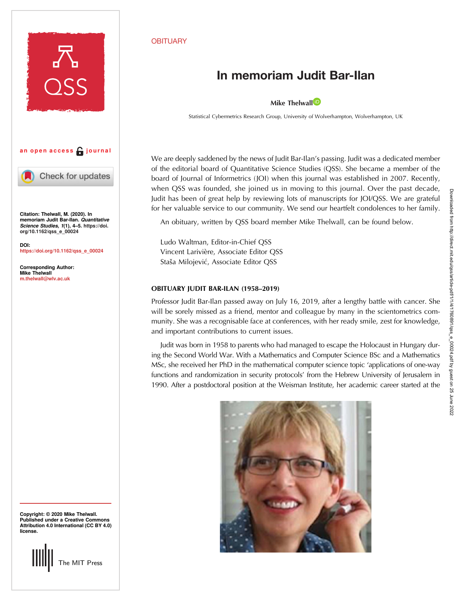

Corresponding Author: Mike Thelwall [m.thelwall@wlv.ac.uk](mailto:m.thelwall@wlv.ac.uk)

Copyright: © 2020 Mike Thelwall. Published under a Creative Commons Attribution 4.0 International (CC BY 4.0) license.

## The MIT Press

## **OBITUARY**

## In memoriam Judit Bar-Ilan

Mike The[l](https://orcid.org/0000-0001-6065-205X)wall<sup>D</sup>

Statistical Cybermetrics Research Group, University of Wolverhampton, Wolverhampton, UK

We are deeply saddened by the news of Judit Bar-Ilan's passing. Judit was a dedicated member of the editorial board of Quantitative Science Studies (QSS). She became a member of the board of Journal of Informetrics (JOI) when this journal was established in 2007. Recently, when QSS was founded, she joined us in moving to this journal. Over the past decade, Judit has been of great help by reviewing lots of manuscripts for JOI/QSS. We are grateful for her valuable service to our community. We send our heartfelt condolences to her family.

An obituary, written by QSS board member Mike Thelwall, can be found below.

Ludo Waltman, Editor-in-Chief QSS Vincent Larivière, Associate Editor QSS Staša Milojević, Associate Editor OSS

## OBITUARY JUDIT BAR-ILAN (1958–2019)

Professor Judit Bar-Ilan passed away on July 16, 2019, after a lengthy battle with cancer. She will be sorely missed as a friend, mentor and colleague by many in the scientometrics community. She was a recognisable face at conferences, with her ready smile, zest for knowledge, and important contributions to current issues.

Judit was born in 1958 to parents who had managed to escape the Holocaust in Hungary during the Second World War. With a Mathematics and Computer Science BSc and a Mathematics MSc, she received her PhD in the mathematical computer science topic 'applications of one-way functions and randomization in security protocols' from the Hebrew University of Jerusalem in 1990. After a postdoctoral position at the Weisman Institute, her academic career started at the